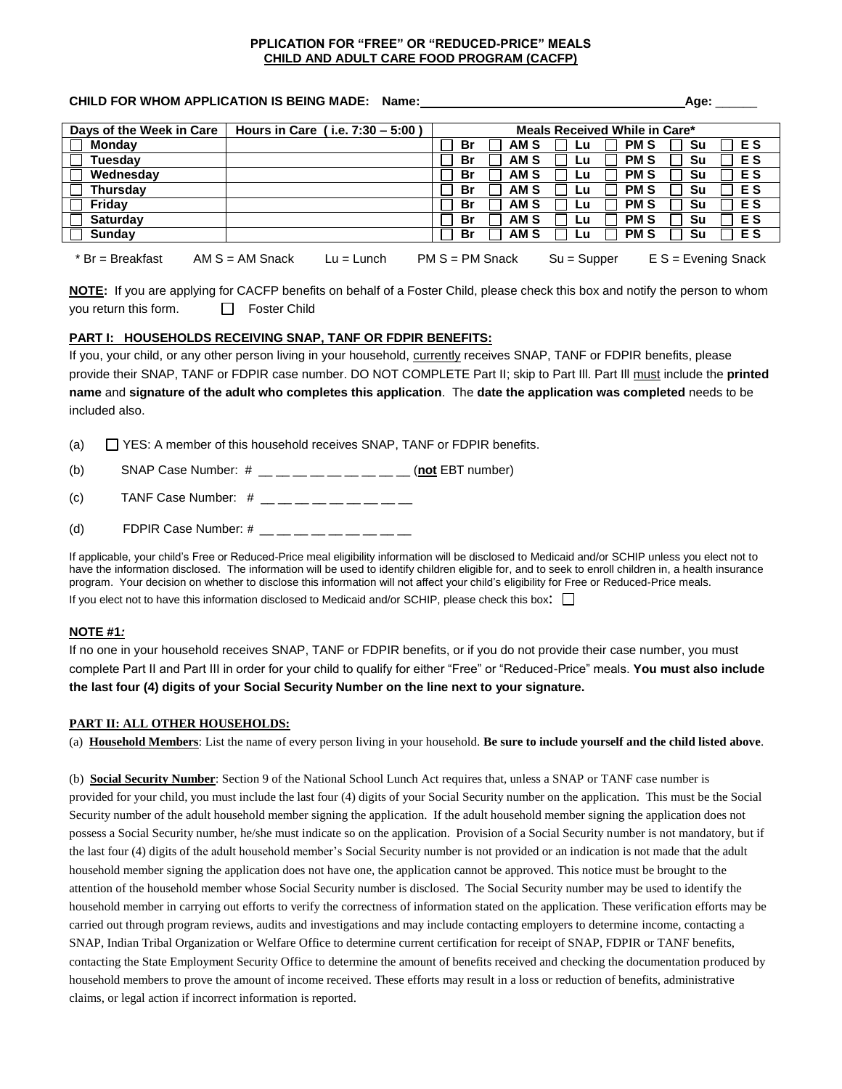### **PPLICATION FOR "FREE" OR "REDUCED-PRICE" MEALS CHILD AND ADULT CARE FOOD PROGRAM (CACFP)**

### **CHILD FOR WHOM APPLICATION IS BEING MADE: Name: Age:** \_\_\_\_\_\_

## **Days of the Week in Care Hours in Care ( i.e. 7:30 – 5:00 ) Meals Received While in Care\* Monday Br AM S Lu PM S Su E S Tuesday Br AM S Lu PM S Su E S Wednesday Br AM S Lu PM S Su E S Thursday Br AM S Lu PM S Su E S Friday Br AM S Lu PM S Su E S Saturday Br AM S Lu PM S Su E S Sunday Br AM S Lu PM S Su E S**

\* Br = Breakfast AM S = AM Snack Lu = Lunch PM S = PM Snack Su = Supper E S = Evening Snack

**NOTE:** If you are applying for CACFP benefits on behalf of a Foster Child, please check this box and notify the person to whom you return this form. <br>  $\Box$  Foster Child

### **PART I: HOUSEHOLDS RECEIVING SNAP, TANF OR FDPIR BENEFITS:**

If you, your child, or any other person living in your household, currently receives SNAP, TANF or FDPIR benefits, please provide their SNAP, TANF or FDPIR case number. DO NOT COMPLETE Part II; skip to Part Ill. Part Ill must include the **printed name** and **signature of the adult who completes this application**. The **date the application was completed** needs to be included also.

(a)  $\Box$  YES: A member of this household receives SNAP, TANF or FDPIR benefits.

(b) SNAP Case Number: # \_\_ \_\_ \_\_ \_\_ \_\_ \_\_ \_\_ \_\_ \_\_ (**not** EBT number)

(c) TANF Case Number:  $#$  \_\_ \_ \_ \_ \_ \_ \_ \_ \_ \_

(d) FDPIR Case Number:  $\#$  \_\_ \_ \_ \_ \_ \_ \_ \_ \_

If applicable, your child's Free or Reduced-Price meal eligibility information will be disclosed to Medicaid and/or SCHIP unless you elect not to have the information disclosed. The information will be used to identify children eligible for, and to seek to enroll children in, a health insurance program. Your decision on whether to disclose this information will not affect your child's eligibility for Free or Reduced-Price meals.

If you elect not to have this information disclosed to Medicaid and/or SCHIP, please check this box:  $\square$ 

### **NOTE #1***:*

If no one in your household receives SNAP, TANF or FDPIR benefits, or if you do not provide their case number, you must complete Part II and Part III in order for your child to qualify for either "Free" or "Reduced-Price" meals. **You must also include the last four (4) digits of your Social Security Number on the line next to your signature.**

### **PART II: ALL OTHER HOUSEHOLDS:**

(a) **Household Members**: List the name of every person living in your household. **Be sure to include yourself and the child listed above**.

(b) **Social Security Number**: Section 9 of the National School Lunch Act requires that, unless a SNAP or TANF case number is provided for your child, you must include the last four (4) digits of your Social Security number on the application. This must be the Social Security number of the adult household member signing the application. If the adult household member signing the application does not possess a Social Security number, he/she must indicate so on the application. Provision of a Social Security number is not mandatory, but if the last four (4) digits of the adult household member's Social Security number is not provided or an indication is not made that the adult household member signing the application does not have one, the application cannot be approved. This notice must be brought to the attention of the household member whose Social Security number is disclosed. The Social Security number may be used to identify the household member in carrying out efforts to verify the correctness of information stated on the application. These verification efforts may be carried out through program reviews, audits and investigations and may include contacting employers to determine income, contacting a SNAP, Indian Tribal Organization or Welfare Office to determine current certification for receipt of SNAP, FDPIR or TANF benefits, contacting the State Employment Security Office to determine the amount of benefits received and checking the documentation produced by household members to prove the amount of income received. These efforts may result in a loss or reduction of benefits, administrative claims, or legal action if incorrect information is reported.